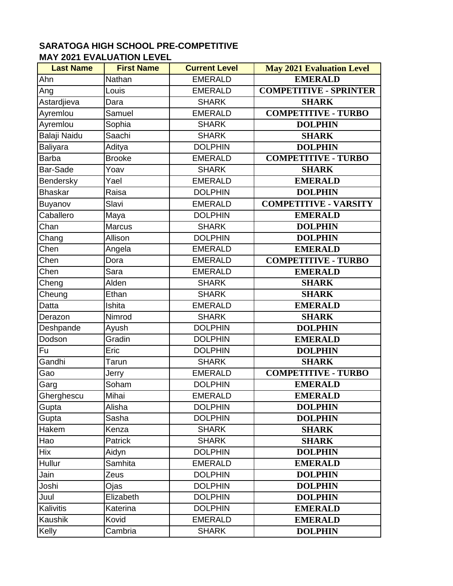| <b>Last Name</b> | <b>First Name</b> | <b>Current Level</b> | <b>May 2021 Evaluation Level</b> |
|------------------|-------------------|----------------------|----------------------------------|
| Ahn              | Nathan            | <b>EMERALD</b>       | <b>EMERALD</b>                   |
| Ang              | Louis             | <b>EMERALD</b>       | <b>COMPETITIVE - SPRINTER</b>    |
| Astardjieva      | Dara              | <b>SHARK</b>         | <b>SHARK</b>                     |
| Ayremlou         | Samuel            | <b>EMERALD</b>       | <b>COMPETITIVE - TURBO</b>       |
| Ayremlou         | Sophia            | <b>SHARK</b>         | <b>DOLPHIN</b>                   |
| Balaji Naidu     | Saachi            | <b>SHARK</b>         | <b>SHARK</b>                     |
| Baliyara         | Aditya            | <b>DOLPHIN</b>       | <b>DOLPHIN</b>                   |
| <b>Barba</b>     | <b>Brooke</b>     | <b>EMERALD</b>       | <b>COMPETITIVE - TURBO</b>       |
| Bar-Sade         | Yoav              | <b>SHARK</b>         | <b>SHARK</b>                     |
| Bendersky        | Yael              | <b>EMERALD</b>       | <b>EMERALD</b>                   |
| <b>Bhaskar</b>   | Raisa             | <b>DOLPHIN</b>       | <b>DOLPHIN</b>                   |
| Buyanov          | Slavi             | <b>EMERALD</b>       | <b>COMPETITIVE - VARSITY</b>     |
| Caballero        | Maya              | <b>DOLPHIN</b>       | <b>EMERALD</b>                   |
| Chan             | <b>Marcus</b>     | <b>SHARK</b>         | <b>DOLPHIN</b>                   |
| Chang            | Allison           | <b>DOLPHIN</b>       | <b>DOLPHIN</b>                   |
| Chen             | Angela            | <b>EMERALD</b>       | <b>EMERALD</b>                   |
| Chen             | Dora              | <b>EMERALD</b>       | <b>COMPETITIVE - TURBO</b>       |
| Chen             | Sara              | <b>EMERALD</b>       | <b>EMERALD</b>                   |
| Cheng            | Alden             | <b>SHARK</b>         | <b>SHARK</b>                     |
| Cheung           | Ethan             | <b>SHARK</b>         | <b>SHARK</b>                     |
| <b>Datta</b>     | Ishita            | <b>EMERALD</b>       | <b>EMERALD</b>                   |
| Derazon          | Nimrod            | <b>SHARK</b>         | <b>SHARK</b>                     |
| Deshpande        | Ayush             | <b>DOLPHIN</b>       | <b>DOLPHIN</b>                   |
| Dodson           | Gradin            | <b>DOLPHIN</b>       | <b>EMERALD</b>                   |
| Fu               | Eric              | <b>DOLPHIN</b>       | <b>DOLPHIN</b>                   |
| Gandhi           | Tarun             | <b>SHARK</b>         | <b>SHARK</b>                     |
| Gao              | Jerry             | <b>EMERALD</b>       | <b>COMPETITIVE - TURBO</b>       |
| Garg             | Soham             | <b>DOLPHIN</b>       | <b>EMERALD</b>                   |
| Gherghescu       | Mihai             | <b>EMERALD</b>       | <b>EMERALD</b>                   |
| Gupta            | Alisha            | <b>DOLPHIN</b>       | <b>DOLPHIN</b>                   |
| Gupta            | Sasha             | <b>DOLPHIN</b>       | <b>DOLPHIN</b>                   |
| Hakem            | Kenza             | <b>SHARK</b>         | <b>SHARK</b>                     |
| Hao              | Patrick           | <b>SHARK</b>         | <b>SHARK</b>                     |
| Hix              | Aidyn             | <b>DOLPHIN</b>       | <b>DOLPHIN</b>                   |
| Hullur           | Samhita           | <b>EMERALD</b>       | <b>EMERALD</b>                   |
| Jain             | Zeus              | <b>DOLPHIN</b>       | <b>DOLPHIN</b>                   |
| Joshi            | Ojas              | <b>DOLPHIN</b>       | <b>DOLPHIN</b>                   |
| Juul             | Elizabeth         | <b>DOLPHIN</b>       | <b>DOLPHIN</b>                   |
| Kalivitis        | Katerina          | <b>DOLPHIN</b>       | <b>EMERALD</b>                   |
| Kaushik          | Kovid             | <b>EMERALD</b>       | <b>EMERALD</b>                   |
| Kelly            | Cambria           | <b>SHARK</b>         | <b>DOLPHIN</b>                   |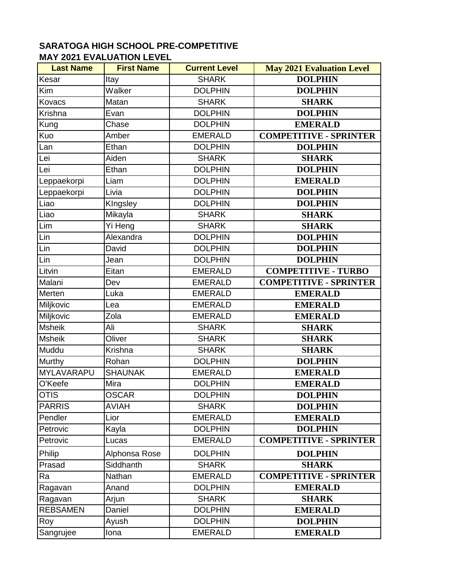| <b>Last Name</b> | <b>First Name</b> | <b>Current Level</b> | <b>May 2021 Evaluation Level</b> |
|------------------|-------------------|----------------------|----------------------------------|
| Kesar            | Itay              | <b>SHARK</b>         | <b>DOLPHIN</b>                   |
| Kim              | Walker            | <b>DOLPHIN</b>       | <b>DOLPHIN</b>                   |
| Kovacs           | Matan             | <b>SHARK</b>         | <b>SHARK</b>                     |
| Krishna          | Evan              | <b>DOLPHIN</b>       | <b>DOLPHIN</b>                   |
| Kung             | Chase             | <b>DOLPHIN</b>       | <b>EMERALD</b>                   |
| Kuo              | Amber             | <b>EMERALD</b>       | <b>COMPETITIVE - SPRINTER</b>    |
| Lan              | Ethan             | <b>DOLPHIN</b>       | <b>DOLPHIN</b>                   |
| Lei              | Aiden             | <b>SHARK</b>         | <b>SHARK</b>                     |
| Lei              | Ethan             | <b>DOLPHIN</b>       | <b>DOLPHIN</b>                   |
| Leppaekorpi      | Liam              | <b>DOLPHIN</b>       | <b>EMERALD</b>                   |
| Leppaekorpi      | Livia             | <b>DOLPHIN</b>       | <b>DOLPHIN</b>                   |
| Liao             | KIngsley          | <b>DOLPHIN</b>       | <b>DOLPHIN</b>                   |
| Liao             | Mikayla           | <b>SHARK</b>         | <b>SHARK</b>                     |
| Lim              | Yi Heng           | <b>SHARK</b>         | <b>SHARK</b>                     |
| Lin              | Alexandra         | <b>DOLPHIN</b>       | <b>DOLPHIN</b>                   |
| Lin              | David             | <b>DOLPHIN</b>       | <b>DOLPHIN</b>                   |
| Lin              | Jean              | <b>DOLPHIN</b>       | <b>DOLPHIN</b>                   |
| Litvin           | Eitan             | <b>EMERALD</b>       | <b>COMPETITIVE - TURBO</b>       |
| Malani           | Dev               | <b>EMERALD</b>       | <b>COMPETITIVE - SPRINTER</b>    |
| Merten           | Luka              | <b>EMERALD</b>       | <b>EMERALD</b>                   |
| Miljkovic        | Lea               | <b>EMERALD</b>       | <b>EMERALD</b>                   |
| Miljkovic        | Zola              | <b>EMERALD</b>       | <b>EMERALD</b>                   |
| <b>Msheik</b>    | Ali               | <b>SHARK</b>         | <b>SHARK</b>                     |
| <b>Msheik</b>    | Oliver            | <b>SHARK</b>         | <b>SHARK</b>                     |
| Muddu            | Krishna           | <b>SHARK</b>         | <b>SHARK</b>                     |
| Murthy           | Rohan             | <b>DOLPHIN</b>       | <b>DOLPHIN</b>                   |
| MYLAVARAPU       | <b>SHAUNAK</b>    | <b>EMERALD</b>       | <b>EMERALD</b>                   |
| O'Keefe          | Mira              | <b>DOLPHIN</b>       | <b>EMERALD</b>                   |
| <b>OTIS</b>      | <b>OSCAR</b>      | <b>DOLPHIN</b>       | <b>DOLPHIN</b>                   |
| <b>PARRIS</b>    | AVIAH             | <b>SHARK</b>         | <b>DOLPHIN</b>                   |
| Pendler          | Lior              | <b>EMERALD</b>       | <b>EMERALD</b>                   |
| Petrovic         | Kayla             | <b>DOLPHIN</b>       | <b>DOLPHIN</b>                   |
| Petrovic         | Lucas             | <b>EMERALD</b>       | <b>COMPETITIVE - SPRINTER</b>    |
| Philip           | Alphonsa Rose     | <b>DOLPHIN</b>       | <b>DOLPHIN</b>                   |
| Prasad           | Siddhanth         | <b>SHARK</b>         | <b>SHARK</b>                     |
| Ra               | Nathan            | <b>EMERALD</b>       | <b>COMPETITIVE - SPRINTER</b>    |
| Ragavan          | Anand             | <b>DOLPHIN</b>       | <b>EMERALD</b>                   |
| Ragavan          | Arjun             | <b>SHARK</b>         | <b>SHARK</b>                     |
| <b>REBSAMEN</b>  | Daniel            | <b>DOLPHIN</b>       | <b>EMERALD</b>                   |
| Roy              | Ayush             | <b>DOLPHIN</b>       | <b>DOLPHIN</b>                   |
| Sangrujee        | lona              | <b>EMERALD</b>       | <b>EMERALD</b>                   |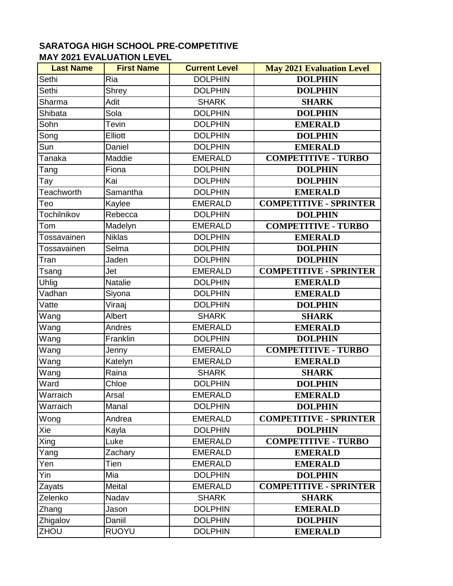| <b>Last Name</b>   | <b>First Name</b>    | <b>Current Level</b> | <b>May 2021 Evaluation Level</b> |
|--------------------|----------------------|----------------------|----------------------------------|
| Sethi              | Ria                  | <b>DOLPHIN</b>       | <b>DOLPHIN</b>                   |
| Sethi              | Shrey                | <b>DOLPHIN</b>       | <b>DOLPHIN</b>                   |
| Sharma             | Adit                 | <b>SHARK</b>         | <b>SHARK</b>                     |
| Shibata            | Sola                 | <b>DOLPHIN</b>       | <b>DOLPHIN</b>                   |
| Sohn               | Tevin                | <b>DOLPHIN</b>       | <b>EMERALD</b>                   |
| Song               | <b>Elliott</b>       | <b>DOLPHIN</b>       | <b>DOLPHIN</b>                   |
| Sun                | Daniel               | <b>DOLPHIN</b>       | <b>EMERALD</b>                   |
| Tanaka             | Maddie               | <b>EMERALD</b>       | <b>COMPETITIVE - TURBO</b>       |
| Tang               | Fiona                | <b>DOLPHIN</b>       | <b>DOLPHIN</b>                   |
| Tay                | Kai                  | <b>DOLPHIN</b>       | <b>DOLPHIN</b>                   |
| <b>Teachworth</b>  | Samantha             | <b>DOLPHIN</b>       | <b>EMERALD</b>                   |
| Teo                | Kaylee               | <b>EMERALD</b>       | <b>COMPETITIVE - SPRINTER</b>    |
| <b>Tochilnikov</b> | Rebecca              | <b>DOLPHIN</b>       | <b>DOLPHIN</b>                   |
| Tom                | Madelyn              | <b>EMERALD</b>       | <b>COMPETITIVE - TURBO</b>       |
| Tossavainen        | <b>Niklas</b>        | <b>DOLPHIN</b>       | <b>EMERALD</b>                   |
| Tossavainen        | Selma                | <b>DOLPHIN</b>       | <b>DOLPHIN</b>                   |
| Tran               | Jaden                | <b>DOLPHIN</b>       | <b>DOLPHIN</b>                   |
| Tsang              | Jet                  | <b>EMERALD</b>       | <b>COMPETITIVE - SPRINTER</b>    |
| <b>Uhlig</b>       | Natalie              | <b>DOLPHIN</b>       | <b>EMERALD</b>                   |
| Vadhan             | Siyona               | <b>DOLPHIN</b>       | <b>EMERALD</b>                   |
| Vatte              | $\overline{V}$ iraaj | <b>DOLPHIN</b>       | <b>DOLPHIN</b>                   |
| Wang               | Albert               | <b>SHARK</b>         | <b>SHARK</b>                     |
| Wang               | Andres               | <b>EMERALD</b>       | <b>EMERALD</b>                   |
| Wang               | Franklin             | <b>DOLPHIN</b>       | <b>DOLPHIN</b>                   |
| Wang               | Jenny                | <b>EMERALD</b>       | <b>COMPETITIVE - TURBO</b>       |
| Wang               | Katelyn              | <b>EMERALD</b>       | <b>EMERALD</b>                   |
| Wang               | Raina                | <b>SHARK</b>         | <b>SHARK</b>                     |
| Ward               | Chloe                | <b>DOLPHIN</b>       | <b>DOLPHIN</b>                   |
| Warraich           | Arsal                | <b>EMERALD</b>       | <b>EMERALD</b>                   |
| Warraich           | Manal                | <b>DOLPHIN</b>       | <b>DOLPHIN</b>                   |
| Wong               | Andrea               | <b>EMERALD</b>       | <b>COMPETITIVE - SPRINTER</b>    |
| Xie                | Kayla                | <b>DOLPHIN</b>       | <b>DOLPHIN</b>                   |
| Xing               | Luke                 | <b>EMERALD</b>       | <b>COMPETITIVE - TURBO</b>       |
| Yang               | Zachary              | <b>EMERALD</b>       | <b>EMERALD</b>                   |
| Yen                | Tien                 | <b>EMERALD</b>       | <b>EMERALD</b>                   |
| Yin                | Mia                  | <b>DOLPHIN</b>       | <b>DOLPHIN</b>                   |
| Zayats             | Meital               | <b>EMERALD</b>       | <b>COMPETITIVE - SPRINTER</b>    |
| Zelenko            | Nadav                | <b>SHARK</b>         | <b>SHARK</b>                     |
| Zhang              | Jason                | <b>DOLPHIN</b>       | <b>EMERALD</b>                   |
| Zhigalov           | Daniil               | <b>DOLPHIN</b>       | <b>DOLPHIN</b>                   |
| ZHOU               | <b>RUOYU</b>         | <b>DOLPHIN</b>       | <b>EMERALD</b>                   |